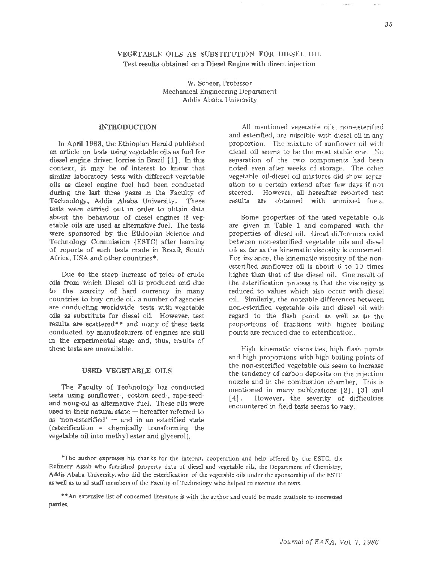# VEGETABLE OILS AS SUBSTITUTION FOR DIESEL OIL Test results obtained on a Diesel Engine with direct injection

W. Scheer, Professor Mechanical Engineering Department Addis Ababa University

## INTRODUCTION

In April 1983, the Ethiopian Herald published an article on tests using vegetable oils as fuel for diesel engine driven lorries in Brazil [1]. In this context, it may be of interest to know that similar laboratory tests with different vegetable oils as diesel engine fuel had been conducted during the last three years in the Faculty of Technology, Addis Ababa University. These tests were carried out in order to obtain data about the behaviour of diesel engines if vegetable oils are used as alternative fuel. The tests were sponsored by the Ethiopian Science and Technology Commission (ESTC) after learning of reports of such tests made in Brazil; South Africa, USA and other countries\*.

Due to the steep increase of price of crude oils from which Diesel oil is produced and due to the scarcity of hard currency in many countries to buy crude oil, a number of agencies are conducting worldwide tests with vegetable oils as substitute for diesel oil. However, test results are scattered\*\* and many of these tests conducted by manufacturers of engines are still in the experimental stage and, thus, results of these tests are unavailable.

### USED VEGETABLE OILS

The Faculty of Technology has conducted tests using sunflower-, cotton seed-, rape-seedand noug-oil as alternative fuel. These oils were used in their natural state  $-$  hereafter referred to as 'non-esterified'  $-$  and in an esterified state (esterification = chemically transforming the vegetable oil into methyl ester and glycerol).

All mentioned vegetable oils, non-esterified and esterified, are miscible with diesel oil in any proportion. The mixture of sunflower oil with diesel oil seems to be the most stable one. No separation of the two components had been noted even after weeks of storage. The other vegetable oil-diesel oil mixtures did show separation to a certain extend after few days if not steered. However, all hereafter reported test results are obtained with unmixed fuels.

Some properties of the used vegetable oils are given in Table 1 and compared with the properties of diesel oil. Great differences exist between non-esterified vegetable oils and diesel oil as far as the kinematic viscosity is concerned. For instance, the kinematic viscosity of the nonesterified sunflower oil is about 6 to 10 times higher than that of the diesel oil. One result of the esterification process is that the viscosity is reduced to values which also occur with diesel oil. Similarly, the noteable differences between non-esterified vegetable oils and diesel oil with regard to the flash point as well as to the proportions of fractions with higher boiling points are reduced due to esterification.

High kinematic viscosities, high flash points and high proportions with high boiling points of the non-esterified vegetable oils seem to increase the tendency of carbon deposits on the injection nozzle and in the combustion chamber. This is mentioned in many publications [2], [3] and [4]. However, the severity of difficulties encountered in field tests seems to vary.

•The author expresses his thanks for the interest, cooperation and help offered by the ESTC, the Refinery Assab who furnished property data of diesel and vegetable oils, the Department of Chemistry, Addis Ababa University, who did the esterification of the vegetable oils under the sponsorship of the ESTC as well as to all staff members of the Faculty of Technology who helped to execute the tests.

••An extensive list of concerned literature is with the author and could be made available to interested parties.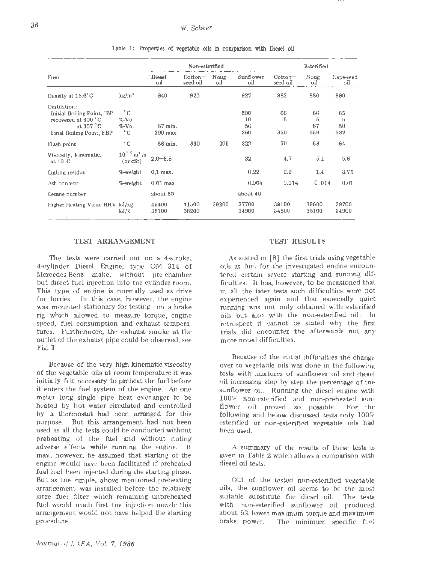|                                                                                                              |                                                | Non-esterified                     |                       |             |                        | Esterified            |                                |                      |
|--------------------------------------------------------------------------------------------------------------|------------------------------------------------|------------------------------------|-----------------------|-------------|------------------------|-----------------------|--------------------------------|----------------------|
| Fuel                                                                                                         |                                                | Diesel<br>oil                      | $Cotton-$<br>seed oil | Noug<br>оil | Sunflower<br>oil       | $Cotton-$<br>seed oil | Noug<br>oil                    | Rape-seed<br>oil     |
| Density at 15.6°C                                                                                            | $\text{kg/m}^3$                                | 840                                | 920                   |             | 927                    | 882                   | 886                            | 880                  |
| Destilation:<br>Initial Boiling Point, IBP<br>recovered at 300 °C<br>at $357 °C$<br>Final Boiling Point, FBP | $^{\circ}$ C<br>%-Vol<br>%-Vol<br>$^{\circ}$ C | $87 \,\mathrm{min}$ .<br>390 град. |                       |             | 200<br>10<br>56<br>360 | 66<br>5<br>350        | 66<br>$\tilde{a}$<br>87<br>359 | 65<br>5<br>50<br>382 |
| Flash point                                                                                                  | $^{\circ}$ C                                   | 66 min.                            | 330                   | 205         | 322                    | 70                    | 68                             | 64                   |
| Viscosity, kinematic,<br>at $40^{\circ}$ C                                                                   | $10^{-6}$ m <sup>2</sup> /s<br>(or cSt)        | $2.0 - 5.5$                        |                       |             | 32                     | 4.7                   | 5.1                            | 5.6                  |
| Carbon residue                                                                                               | %-weight                                       | $0.1$ max.                         |                       |             | 0.22                   | 2,2                   | 1.4                            | 3.75                 |
| Ash content                                                                                                  | %-weight                                       | $0.01$ max.                        |                       |             | 0.004                  | 0.014                 | 0.014                          | 0.01                 |
| Cetane number                                                                                                |                                                | about 50                           |                       |             | about 40               |                       |                                |                      |
| Higher Heating Value HHV kJ/kg                                                                               | kJ/R                                           | 45400<br>38100                     | 41500<br>38200        | 39200       | 37700<br>34900         | 39100<br>34500        | 39600<br>35100                 | 39700<br>34900       |

Table 1: Properties of vegetable oils in comparison with Diesel oil

#### TEST ARRANGEMENT

The tests were carried out on a 4-stroke, 4-cylinder Diesel Engine, type OM 314 of Mercedes-Benz make, without pre-ehamber but direct fuel injection into the cylinder room. This type of engine is normally used as drive for lorries. In this case, however, the engine was mounted stationary for testing on a brake rig which allowed to measure torque, engine speed, fuel consumption and exhaust tempera· tures. Furthermore, the exhaust smoke at the outlet of the exhaust pipe could be observed, see Fig. 1.

Because of the very high kinematic viscosity of the vegetable oils at room temperature it was initially felt necessary to preheat the fuel before it enters the fuel system of the engine. An one meter long single pipe heat exchanger to be heated by hot water circulated and controlled by a thermostat had been arranged for this purpose. But this arrangement had not been used as all the tests could be conducted without preheating of the fuel and without noting adverse effects while running the engine. It may, however, be assumed that starting of the engine would have been facilitated if preheated fuel had been injected during the starting phase. But as the simple, above mentioned preheating arrangement was installed before the relatively large fuel filter which remaining unpreheated fuel would reach first the injection nozzle this arrangement would not have helped the starting procedure.

#### TEST RESULTS

As stated in [8] the first trials using vegetable oils as fuel for the investigated engine encountered certain severe starting and running difficulties. It has, however, to be mentioned that in all the later tests such difficulties were not experienced again and that especially quiet running was not only obtained with esterified oils but also with the non-esterified oil. In retrospect it cannot be stated why the first trials did encounter the afterwards not any more noted difficulties.

Because of the initial difficulties the change over to vegetable oils was done in the following tests with mixtures of sunflower oil and diesel oil increasing step by step the percentage of the sunflower oil. Running the diesel engine with 100% non-esterified and non-preheated sunflower oil proved so possible. For the following and below discussed tests only 100% esterified or non-esterified vegetable oils had been used.

A summary of the results of these tests is given in Table 2 which allows a comparison with diesel oil tests.

Out of the tested non-esterified vegetable oils, the sunflower oil seems to be the most suitable substitute for diesel oil. The tests with non-esterified sunflower oil produced about 5% lower maximum torque and maximum brake power. The minimum specific fuel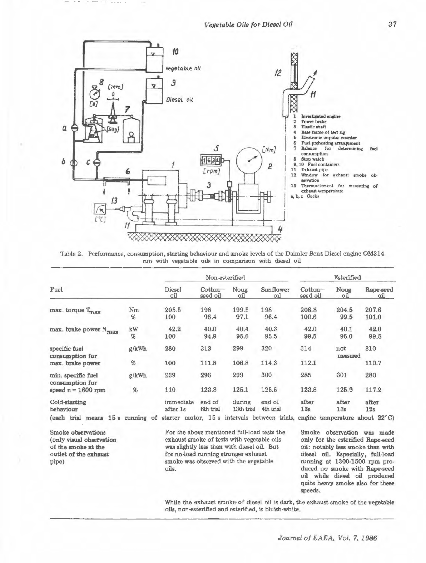Vegetable Oils for Diesel Oil



Table 2. Performance, consumption, starting behaviour and smoke levels of the Daimler-Benz Diesel engine OM314 run with vegetable oils in comparison with diesel oil

|                                                               |            |                       | Non-esterified                       |                      |                                                                              |                     | Esterified      |                   |  |
|---------------------------------------------------------------|------------|-----------------------|--------------------------------------|----------------------|------------------------------------------------------------------------------|---------------------|-----------------|-------------------|--|
| Fuel                                                          |            | <b>Diesel</b><br>oil  | $\cot$ <sub>on</sub> $-$<br>seed oil | Noug<br>oil          | Sunflower<br>оil                                                             | Cotton-<br>seed oil | Noug<br>oіl     | Rape-seed<br>oil. |  |
| max. torque T <sub>max</sub>                                  | Nm<br>%    | 205.5<br>100          | 198<br>96.4                          | 199.5<br>97.1        | 198<br>96.4                                                                  | 206.8<br>100.6      | 204.5<br>99.5   | 207.6<br>101.0    |  |
| max. brake power N <sub>max</sub>                             | kW<br>$\%$ | 42.2<br>100           | 40.0<br>94.9                         | 40.4<br>95.6         | 40.3<br>95.5                                                                 | 42.0<br>99.5        | 40.1<br>95.0    | 42.0<br>99.5      |  |
| specific fuel<br>consumption for<br>max. brake power          | g/kWh      | 280                   | 313                                  | 299                  | 320                                                                          | 314                 | not<br>measured | 310               |  |
|                                                               | %          | 100                   | 111.8                                | 106.8                | 114.3                                                                        | 112.1               |                 | 110.7             |  |
| min. specific fuel<br>consumption for<br>speed $n = 1600$ rpm | g/kWh      | 239                   | 296                                  | 299                  | 300                                                                          | 285                 | 301             | 280               |  |
|                                                               | $\%$       | 110                   | 123.8                                | 125.1                | 125.5                                                                        | 123.8               | 125.9           | 117.2             |  |
| Cold-starting<br>behaviour                                    |            | immediate<br>after 1s | end of<br>6th trial                  | during<br>13th trial | end of<br>4th trial                                                          | after<br>13s        | after<br>13s    | after<br>12s      |  |
| trial means 15 s running of<br>(each                          |            |                       |                                      |                      | starter motor, 15 s intervals between trials, engine temperature about 22°C) |                     |                 |                   |  |

Smoke observations (only visual observation of the smoke at the outlet of the exhaust pipe)

For the above mentioned full-load tests the exhaust smoke of tests with vegetable oils was slightly less than with diesel oil. But for no-load running stronger exhaust smoke was observed with the vegetable oils.

Smoke observation was made only for the esterified Rape-seed oil: notably less smoke than with diesel oil. Especially, full-load running at 1300-1500 rpm produced no smoke with Rape-seed oil while diesel oil produced quite heavy smoke also for these speeds.

While the exhaust smoke of diesel oil is dark, the exhaust smoke of the vegetable oils, non-esterified and esterified, is bluish-white.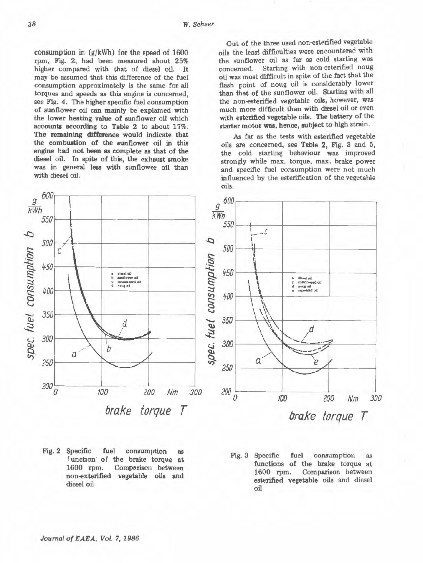consumption in (g/kWh) for the speed of 1600 rpm, Fig. 2, had been measured about 25% higher compared with that of diesel oil. It may be assumed that this difference of the fuel consumption approximately is the same for all torques and speeds as this engine is concerned, see Fig. 4. The higher specific fuel consumption of sunflower oil can mainly be explained with the lower heating value of sunfiower oil which accounts according to Table 2 to about 17%. The remaining difference would indicate that the combustion of the sunflower oil in this engine had not been as complete as that of the diesel oil. In spite of this, the exhaust smoke was in general less with sunflower oil than with diesel oil.



Fig. 2 Specific fuel consumption as f unction· of the brake torque at 1600 rpm. Comparison between non-exterified vegetable oils and diesel oil

Out of the three used non-esterified vegetable oils the least difficulties were encountered with the sunflower oil as far as cold starting was concerned. Starting with non-esterified noug oil was most difficult in spite of the fact that the flash point of noug oil is considerably lower than that of the sunflower oil. Starting with all the non-esterified vegetable oils, however, was much more difficult than with diesel oil or even with esterified vegetable oils. The battery of the starter motor was, hence, subject to high strain.

*As* far as the tests with esterified vegetable oils are concerned, see Table 2, Fig. 3 and 5, the cold starting behaviour was improved strongly while max. torque, max. brake power and specific fuel consumption were not much influenced by the esterification of the vegetable oils.



Fig. 3 Specific fuel consumption as functions of the brake torque at 1600 rpm. Comparison between esterified vegetable oils and diesel oil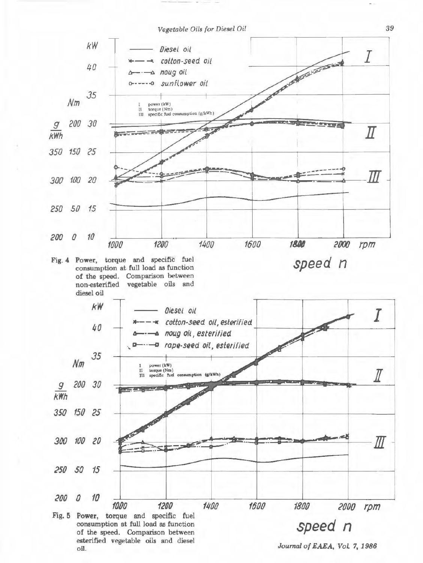Vegetable Oils for Diesel Oil